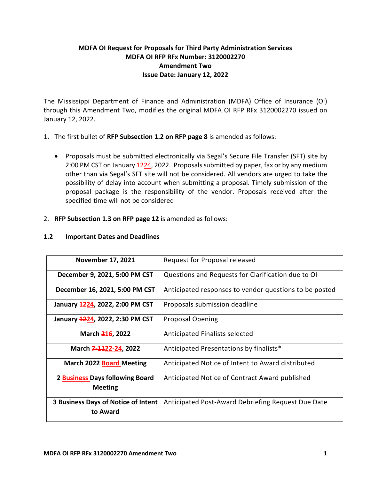## **MDFA OI Request for Proposals for Third Party Administration Services MDFA OI RFP RFx Number: 3120002270 Amendment Two Issue Date: January 12, 2022**

The Mississippi Department of Finance and Administration (MDFA) Office of Insurance (OI) through this Amendment Two, modifies the original MDFA OI RFP RFx 3120002270 issued on January 12, 2022.

- 1. The first bullet of **RFP Subsection 1.2 on RFP page 8** is amended as follows:
	- Proposals must be submitted electronically via Segal's Secure File Transfer (SFT) site by 2:00 PM CST on January  $\frac{1224}{2}$ , 2022. Proposals submitted by paper, fax or by any medium other than via Segal's SFT site will not be considered. All vendors are urged to take the possibility of delay into account when submitting a proposal. Timely submission of the proposal package is the responsibility of the vendor. Proposals received after the specified time will not be considered

## 2. **RFP Subsection 1.3 on RFP page 12** is amended as follows:

| <b>November 17, 2021</b>                                 | Request for Proposal released                          |
|----------------------------------------------------------|--------------------------------------------------------|
| December 9, 2021, 5:00 PM CST                            | Questions and Requests for Clarification due to OI     |
| December 16, 2021, 5:00 PM CST                           | Anticipated responses to vendor questions to be posted |
| January 1224, 2022, 2:00 PM CST                          | Proposals submission deadline                          |
| January 4224, 2022, 2:30 PM CST                          | <b>Proposal Opening</b>                                |
| March 216, 2022                                          | Anticipated Finalists selected                         |
| March 7-1122-24, 2022                                    | Anticipated Presentations by finalists*                |
| <b>March 2022 Board Meeting</b>                          | Anticipated Notice of Intent to Award distributed      |
| 2 <b>Business</b> Days following Board<br><b>Meeting</b> | Anticipated Notice of Contract Award published         |
| <b>3 Business Days of Notice of Intent</b><br>to Award   | Anticipated Post-Award Debriefing Request Due Date     |

## **1.2 Important Dates and Deadlines**